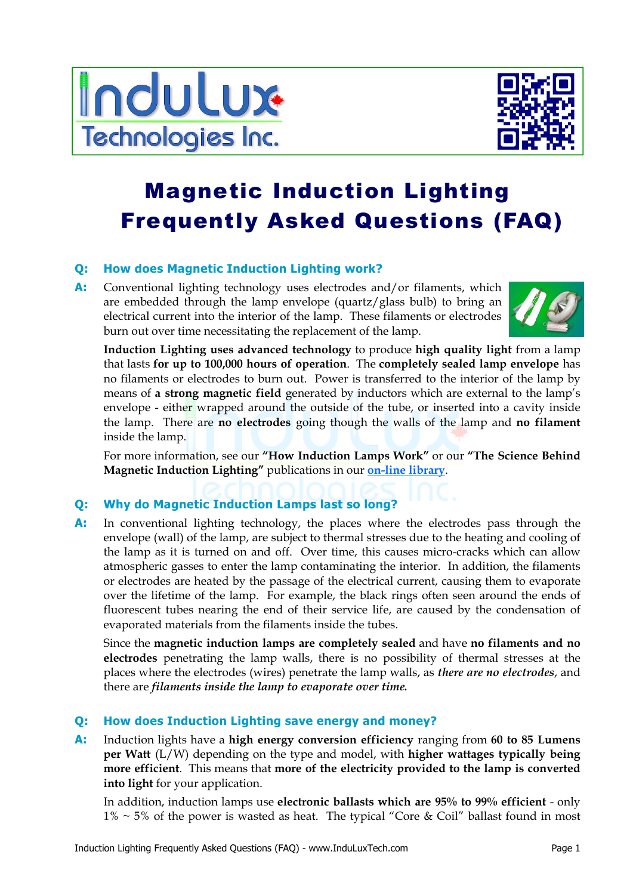



# Magnetic Induction Lighting Frequently Asked Questions (FAQ)

# **Q: How does Magnetic Induction Lighting work?**

**A:** Conventional lighting technology uses electrodes and/or filaments, which are embedded through the lamp envelope (quartz/glass bulb) to bring an electrical current into the interior of the lamp. These filaments or electrodes burn out over time necessitating the replacement of the lamp.



**Induction Lighting uses advanced technology** to produce **high quality light** from a lamp that lasts **for up to 100,000 hours of operation**. The **completely sealed lamp envelope** has no filaments or electrodes to burn out. Power is transferred to the interior of the lamp by means of **a strong magnetic field** generated by inductors which are external to the lamp's envelope - either wrapped around the outside of the tube, or inserted into a cavity inside the lamp. There are **no electrodes** going though the walls of the lamp and **no filament**  inside the lamp.

 For more information, see our **"How Induction Lamps Work"** or our **"The Science Behind Magnetic Induction Lighting"** publications in our **on-line library**.

# **Q: Why do Magnetic Induction Lamps last so long?**

**A:** In conventional lighting technology, the places where the electrodes pass through the envelope (wall) of the lamp, are subject to thermal stresses due to the heating and cooling of the lamp as it is turned on and off. Over time, this causes micro-cracks which can allow atmospheric gasses to enter the lamp contaminating the interior. In addition, the filaments or electrodes are heated by the passage of the electrical current, causing them to evaporate over the lifetime of the lamp. For example, the black rings often seen around the ends of fluorescent tubes nearing the end of their service life, are caused by the condensation of evaporated materials from the filaments inside the tubes.

 Since the **magnetic induction lamps are completely sealed** and have **no filaments and no electrodes** penetrating the lamp walls, there is no possibility of thermal stresses at the places where the electrodes (wires) penetrate the lamp walls, as *there are no electrodes*, and there are *filaments inside the lamp to evaporate over time.*

# **Q: How does Induction Lighting save energy and money?**

**A:** Induction lights have a **high energy conversion efficiency** ranging from **60 to 85 Lumens per Watt** (L/W) depending on the type and model, with **higher wattages typically being more efficient**. This means that **more of the electricity provided to the lamp is converted into light** for your application.

 In addition, induction lamps use **electronic ballasts which are 95% to 99% efficient** - only  $1\% \sim 5\%$  of the power is wasted as heat. The typical "Core & Coil" ballast found in most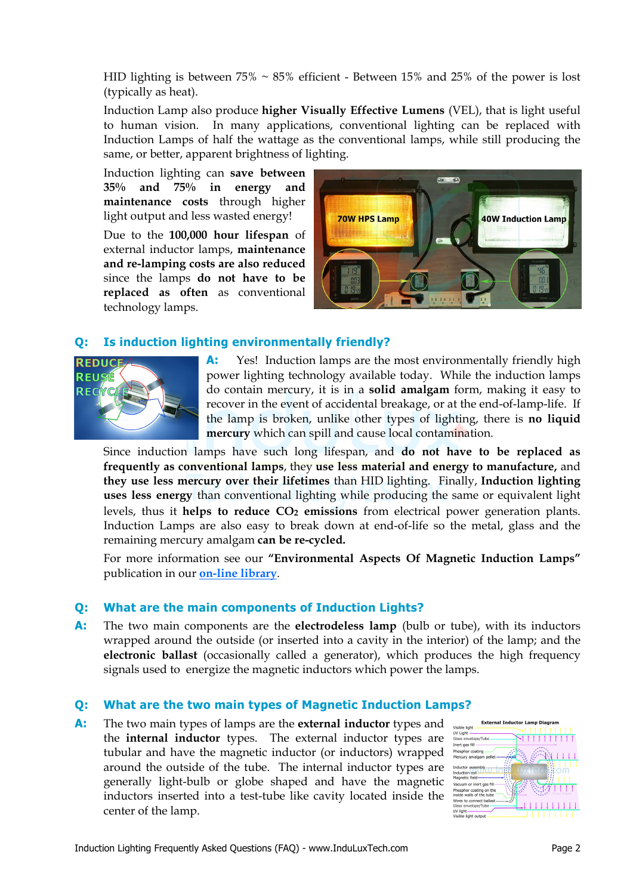HID lighting is between  $75\% \sim 85\%$  efficient - Between 15% and 25% of the power is lost (typically as heat).

 Induction Lamp also produce **higher Visually Effective Lumens** (VEL), that is light useful to human vision. In many applications, conventional lighting can be replaced with Induction Lamps of half the wattage as the conventional lamps, while still producing the same, or better, apparent brightness of lighting.

 Induction lighting can **save between 35% and 75% in energy and maintenance costs** through higher light output and less wasted energy!

Due to the **100,000 hour lifespan** of external inductor lamps, **maintenance and re-lamping costs are also reduced**  since the lamps **do not have to be replaced as often** as conventional technology lamps.



### **Q: Is induction lighting environmentally friendly?**



A: Yes! Induction lamps are the most environmentally friendly high power lighting technology available today. While the induction lamps do contain mercury, it is in a **solid amalgam** form, making it easy to recover in the event of accidental breakage, or at the end-of-lamp-life. If the lamp is broken, unlike other types of lighting, there is **no liquid mercury** which can spill and cause local contamination.

 Since induction lamps have such long lifespan, and **do not have to be replaced as frequently as conventional lamps**, they **use less material and energy to manufacture,** and **they use less mercury over their lifetimes** than HID lighting.Finally, **Induction lighting uses less energy** than conventional lighting while producing the same or equivalent light levels, thus it **helps to reduce CO<sub>2</sub> emissions** from electrical power generation plants. Induction Lamps are also easy to break down at end-of-life so the metal, glass and the remaining mercury amalgam **can be re-cycled.** 

 For more information see our **"Environmental Aspects Of Magnetic Induction Lamps"**  publication in our **on-line library**.

### **Q: What are the main components of Induction Lights?**

**A:** The two main components are the **electrodeless lamp** (bulb or tube), with its inductors wrapped around the outside (or inserted into a cavity in the interior) of the lamp; and the **electronic ballast** (occasionally called a generator), which produces the high frequency signals used to energize the magnetic inductors which power the lamps.

#### **Q: What are the two main types of Magnetic Induction Lamps?**

**A:** The two main types of lamps are the **external inductor** types and the **internal inductor** types. The external inductor types are tubular and have the magnetic inductor (or inductors) wrapped around the outside of the tube. The internal inductor types are generally light-bulb or globe shaped and have the magnetic inductors inserted into a test-tube like cavity located inside the center of the lamp.

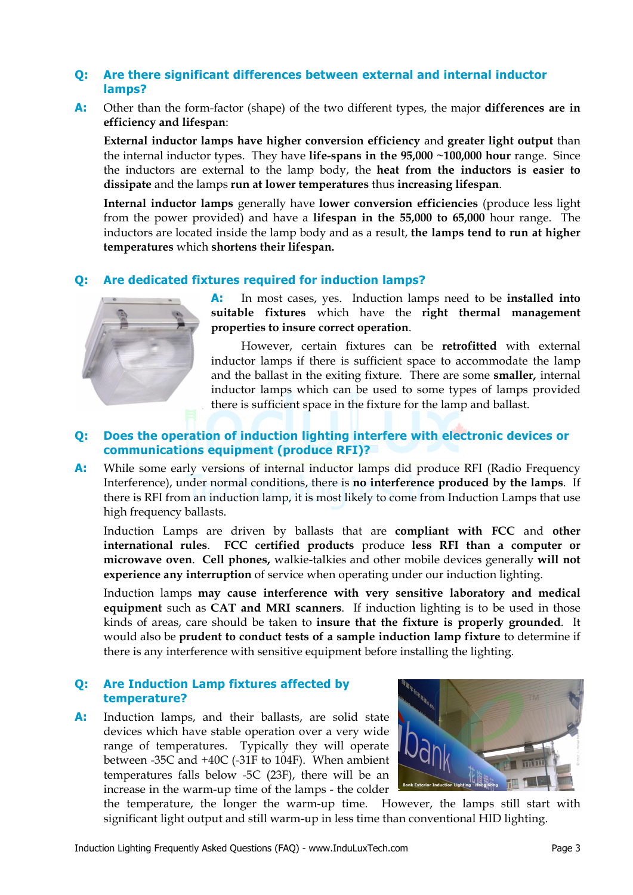## **Q: Are there significant differences between external and internal inductor lamps?**

**A:** Other than the form-factor (shape) of the two different types, the major **differences are in efficiency and lifespan**:

**External inductor lamps have higher conversion efficiency** and **greater light output** than the internal inductor types. They have **life-spans in the 95,000 ~100,000 hour** range. Since the inductors are external to the lamp body, the **heat from the inductors is easier to dissipate** and the lamps **run at lower temperatures** thus **increasing lifespan**.

**Internal inductor lamps** generally have **lower conversion efficiencies** (produce less light from the power provided) and have a **lifespan in the 55,000 to 65,000** hour range. The inductors are located inside the lamp body and as a result, **the lamps tend to run at higher temperatures** which **shortens their lifespan.**

## **Q: Are dedicated fixtures required for induction lamps?**



**A:** In most cases, yes. Induction lamps need to be **installed into suitable fixtures** which have the **right thermal management properties to insure correct operation**.

 However, certain fixtures can be **retrofitted** with external inductor lamps if there is sufficient space to accommodate the lamp and the ballast in the exiting fixture. There are some **smaller,** internal inductor lamps which can be used to some types of lamps provided there is sufficient space in the fixture for the lamp and ballast.

# **Q: Does the operation of induction lighting interfere with electronic devices or communications equipment (produce RFI)?**

A: While some early versions of internal inductor lamps did produce RFI (Radio Frequency Interference), under normal conditions, there is **no interference produced by the lamps**. If there is RFI from an induction lamp, it is most likely to come from Induction Lamps that use high frequency ballasts.

 Induction Lamps are driven by ballasts that are **compliant with FCC** and **other international rules**. **FCC certified products** produce **less RFI than a computer or microwave oven**. **Cell phones,** walkie-talkies and other mobile devices generally **will not experience any interruption** of service when operating under our induction lighting.

 Induction lamps **may cause interference with very sensitive laboratory and medical equipment** such as **CAT and MRI scanners**. If induction lighting is to be used in those kinds of areas, care should be taken to **insure that the fixture is properly grounded**. It would also be **prudent to conduct tests of a sample induction lamp fixture** to determine if there is any interference with sensitive equipment before installing the lighting.

### **Q: Are Induction Lamp fixtures affected by temperature?**

**A:** Induction lamps, and their ballasts, are solid state devices which have stable operation over a very wide range of temperatures. Typically they will operate between -35C and +40C (-31F to 104F). When ambient temperatures falls below -5C (23F), there will be an increase in the warm-up time of the lamps - the colder



the temperature, the longer the warm-up time. However, the lamps still start with significant light output and still warm-up in less time than conventional HID lighting.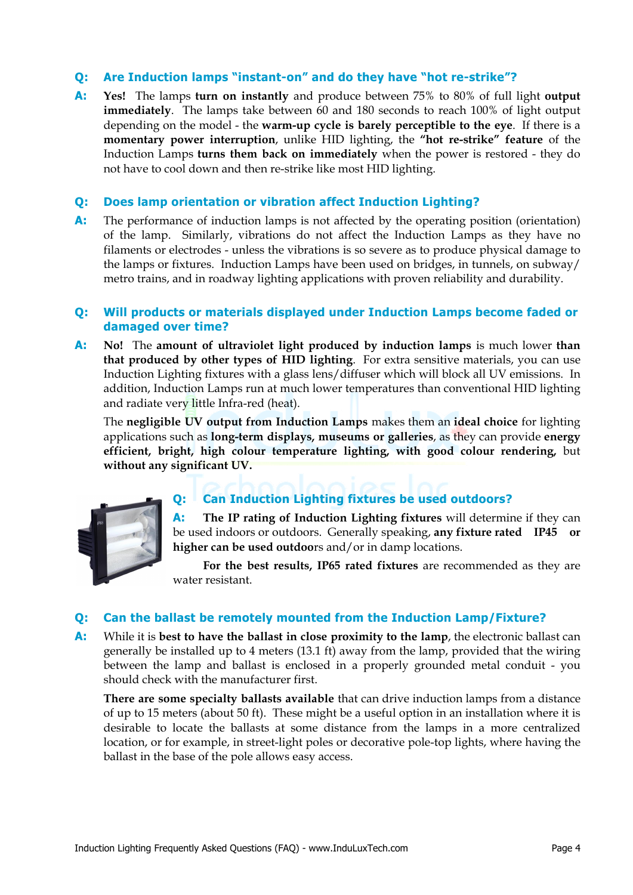## **Q: Are Induction lamps "instant-on" and do they have "hot re-strike"?**

**A: Yes!** The lamps **turn on instantly** and produce between 75% to 80% of full light **output immediately**. The lamps take between 60 and 180 seconds to reach 100% of light output depending on the model - the **warm-up cycle is barely perceptible to the eye**. If there is a **momentary power interruption**, unlike HID lighting, the **"hot re-strike" feature** of the Induction Lamps **turns them back on immediately** when the power is restored - they do not have to cool down and then re-strike like most HID lighting.

#### **Q: Does lamp orientation or vibration affect Induction Lighting?**

**A:** The performance of induction lamps is not affected by the operating position (orientation) of the lamp. Similarly, vibrations do not affect the Induction Lamps as they have no filaments or electrodes - unless the vibrations is so severe as to produce physical damage to the lamps or fixtures. Induction Lamps have been used on bridges, in tunnels, on subway/ metro trains, and in roadway lighting applications with proven reliability and durability.

#### **Q: Will products or materials displayed under Induction Lamps become faded or damaged over time?**

**A: No!** The **amount of ultraviolet light produced by induction lamps** is much lower **than that produced by other types of HID lighting**. For extra sensitive materials, you can use Induction Lighting fixtures with a glass lens/diffuser which will block all UV emissions. In addition, Induction Lamps run at much lower temperatures than conventional HID lighting and radiate very little Infra-red (heat).

 The **negligible UV output from Induction Lamps** makes them an **ideal choice** for lighting applications such as **long-term displays, museums or galleries**, as they can provide **energy efficient, bright, high colour temperature lighting, with good colour rendering,** but **without any significant UV.** 



# **Q: Can Induction Lighting fixtures be used outdoors?**

**A: The IP rating of Induction Lighting fixtures** will determine if they can be used indoors or outdoors. Generally speaking, **any fixture rated IP45 or higher can be used outdoo**rs and/or in damp locations.

 **For the best results, IP65 rated fixtures** are recommended as they are water resistant.

### **Q: Can the ballast be remotely mounted from the Induction Lamp/Fixture?**

**A:** While it is **best to have the ballast in close proximity to the lamp**, the electronic ballast can generally be installed up to 4 meters (13.1 ft) away from the lamp, provided that the wiring between the lamp and ballast is enclosed in a properly grounded metal conduit - you should check with the manufacturer first.

**There are some specialty ballasts available** that can drive induction lamps from a distance of up to 15 meters (about 50 ft). These might be a useful option in an installation where it is desirable to locate the ballasts at some distance from the lamps in a more centralized location, or for example, in street-light poles or decorative pole-top lights, where having the ballast in the base of the pole allows easy access.